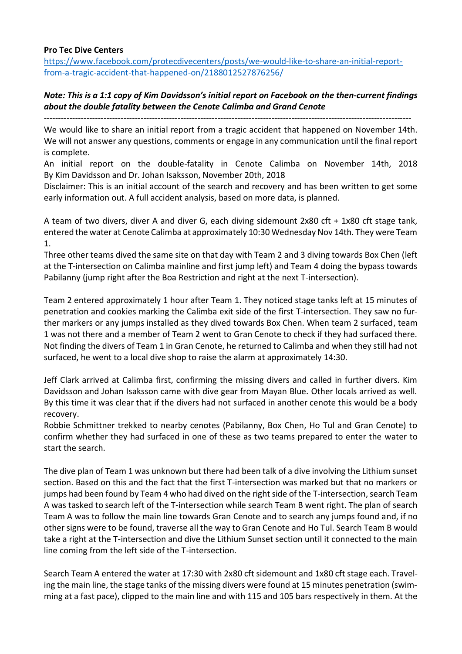#### **Pro Tec Dive Centers**

https://www.facebook.com/protecdivecenters/posts/we-would-like-to-share-an-initial-reportfrom-a-tragic-accident-that-happened-on/2188012527876256/

# *Note: This is a 1:1 copy of Kim Davidsson's initial report on Facebook on the then-current findings about the double fatality between the Cenote Calimba and Grand Cenote*

--------------------------------------------------------------------------------------------------------------------------------- We would like to share an initial report from a tragic accident that happened on November 14th. We will not answer any questions, comments or engage in any communication until the final report is complete.

An initial report on the double-fatality in Cenote Calimba on November 14th, 2018 By Kim Davidsson and Dr. Johan Isaksson, November 20th, 2018

Disclaimer: This is an initial account of the search and recovery and has been written to get some early information out. A full accident analysis, based on more data, is planned.

A team of two divers, diver A and diver G, each diving sidemount 2x80 cft + 1x80 cft stage tank, entered the water at Cenote Calimba at approximately 10:30 Wednesday Nov 14th. They were Team 1.

Three other teams dived the same site on that day with Team 2 and 3 diving towards Box Chen (left at the T-intersection on Calimba mainline and first jump left) and Team 4 doing the bypass towards Pabilanny (jump right after the Boa Restriction and right at the next T-intersection).

Team 2 entered approximately 1 hour after Team 1. They noticed stage tanks left at 15 minutes of penetration and cookies marking the Calimba exit side of the first T-intersection. They saw no further markers or any jumps installed as they dived towards Box Chen. When team 2 surfaced, team 1 was not there and a member of Team 2 went to Gran Cenote to check if they had surfaced there. Not finding the divers of Team 1 in Gran Cenote, he returned to Calimba and when they still had not surfaced, he went to a local dive shop to raise the alarm at approximately 14:30.

Jeff Clark arrived at Calimba first, confirming the missing divers and called in further divers. Kim Davidsson and Johan Isaksson came with dive gear from Mayan Blue. Other locals arrived as well. By this time it was clear that if the divers had not surfaced in another cenote this would be a body recovery.

Robbie Schmittner trekked to nearby cenotes (Pabilanny, Box Chen, Ho Tul and Gran Cenote) to confirm whether they had surfaced in one of these as two teams prepared to enter the water to start the search.

The dive plan of Team 1 was unknown but there had been talk of a dive involving the Lithium sunset section. Based on this and the fact that the first T-intersection was marked but that no markers or jumps had been found by Team 4 who had dived on the right side of the T-intersection, search Team A was tasked to search left of the T-intersection while search Team B went right. The plan of search Team A was to follow the main line towards Gran Cenote and to search any jumps found and, if no other signs were to be found, traverse all the way to Gran Cenote and Ho Tul. Search Team B would take a right at the T-intersection and dive the Lithium Sunset section until it connected to the main line coming from the left side of the T-intersection.

Search Team A entered the water at 17:30 with 2x80 cft sidemount and 1x80 cft stage each. Traveling the main line, the stage tanks of the missing divers were found at 15 minutes penetration (swimming at a fast pace), clipped to the main line and with 115 and 105 bars respectively in them. At the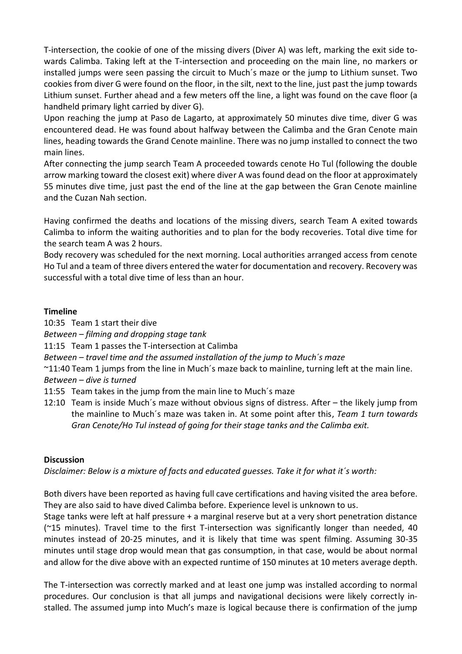T-intersection, the cookie of one of the missing divers (Diver A) was left, marking the exit side towards Calimba. Taking left at the T-intersection and proceeding on the main line, no markers or installed jumps were seen passing the circuit to Much´s maze or the jump to Lithium sunset. Two cookies from diver G were found on the floor, in the silt, next to the line, just past the jump towards Lithium sunset. Further ahead and a few meters off the line, a light was found on the cave floor (a handheld primary light carried by diver G).

Upon reaching the jump at Paso de Lagarto, at approximately 50 minutes dive time, diver G was encountered dead. He was found about halfway between the Calimba and the Gran Cenote main lines, heading towards the Grand Cenote mainline. There was no jump installed to connect the two main lines.

After connecting the jump search Team A proceeded towards cenote Ho Tul (following the double arrow marking toward the closest exit) where diver A was found dead on the floor at approximately 55 minutes dive time, just past the end of the line at the gap between the Gran Cenote mainline and the Cuzan Nah section.

Having confirmed the deaths and locations of the missing divers, search Team A exited towards Calimba to inform the waiting authorities and to plan for the body recoveries. Total dive time for the search team A was 2 hours.

Body recovery was scheduled for the next morning. Local authorities arranged access from cenote Ho Tul and a team of three divers entered the water for documentation and recovery. Recovery was successful with a total dive time of less than an hour.

### **Timeline**

10:35 Team 1 start their dive

*Between – filming and dropping stage tank*

11:15 Team 1 passes the T-intersection at Calimba

*Between – travel time and the assumed installation of the jump to Much´s maze*

~11:40 Team 1 jumps from the line in Much´s maze back to mainline, turning left at the main line.

*Between – dive is turned*

- 11:55 Team takes in the jump from the main line to Much´s maze
- 12:10 Team is inside Much´s maze without obvious signs of distress. After the likely jump from the mainline to Much´s maze was taken in. At some point after this, *Team 1 turn towards Gran Cenote/Ho Tul instead of going for their stage tanks and the Calimba exit.*

### **Discussion**

*Disclaimer: Below is a mixture of facts and educated guesses. Take it for what it´s worth:*

Both divers have been reported as having full cave certifications and having visited the area before. They are also said to have dived Calimba before. Experience level is unknown to us.

Stage tanks were left at half pressure + a marginal reserve but at a very short penetration distance (~15 minutes). Travel time to the first T-intersection was significantly longer than needed, 40 minutes instead of 20-25 minutes, and it is likely that time was spent filming. Assuming 30-35 minutes until stage drop would mean that gas consumption, in that case, would be about normal and allow for the dive above with an expected runtime of 150 minutes at 10 meters average depth.

The T-intersection was correctly marked and at least one jump was installed according to normal procedures. Our conclusion is that all jumps and navigational decisions were likely correctly installed. The assumed jump into Much's maze is logical because there is confirmation of the jump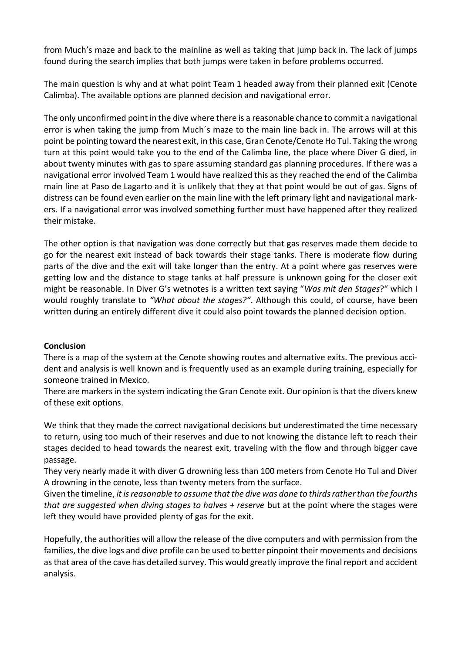from Much's maze and back to the mainline as well as taking that jump back in. The lack of jumps found during the search implies that both jumps were taken in before problems occurred.

The main question is why and at what point Team 1 headed away from their planned exit (Cenote Calimba). The available options are planned decision and navigational error.

The only unconfirmed point in the dive where there is a reasonable chance to commit a navigational error is when taking the jump from Much´s maze to the main line back in. The arrows will at this point be pointing toward the nearest exit, in this case, Gran Cenote/Cenote Ho Tul. Taking the wrong turn at this point would take you to the end of the Calimba line, the place where Diver G died, in about twenty minutes with gas to spare assuming standard gas planning procedures. If there was a navigational error involved Team 1 would have realized this as they reached the end of the Calimba main line at Paso de Lagarto and it is unlikely that they at that point would be out of gas. Signs of distress can be found even earlier on the main line with the left primary light and navigational markers. If a navigational error was involved something further must have happened after they realized their mistake.

The other option is that navigation was done correctly but that gas reserves made them decide to go for the nearest exit instead of back towards their stage tanks. There is moderate flow during parts of the dive and the exit will take longer than the entry. At a point where gas reserves were getting low and the distance to stage tanks at half pressure is unknown going for the closer exit might be reasonable. In Diver G's wetnotes is a written text saying "*Was mit den Stages*?" which I would roughly translate to *"What about the stages?"*. Although this could, of course, have been written during an entirely different dive it could also point towards the planned decision option.

#### **Conclusion**

There is a map of the system at the Cenote showing routes and alternative exits. The previous accident and analysis is well known and is frequently used as an example during training, especially for someone trained in Mexico.

There are markers in the system indicating the Gran Cenote exit. Our opinion is that the divers knew of these exit options.

We think that they made the correct navigational decisions but underestimated the time necessary to return, using too much of their reserves and due to not knowing the distance left to reach their stages decided to head towards the nearest exit, traveling with the flow and through bigger cave passage.

They very nearly made it with diver G drowning less than 100 meters from Cenote Ho Tul and Diver A drowning in the cenote, less than twenty meters from the surface.

Given the timeline, *it is reasonable to assume that the dive was done to thirds rather than the fourths that are suggested when diving stages to halves + reserve* but at the point where the stages were left they would have provided plenty of gas for the exit.

Hopefully, the authorities will allow the release of the dive computers and with permission from the families, the dive logs and dive profile can be used to better pinpoint their movements and decisions as that area of the cave has detailed survey. This would greatly improve the final report and accident analysis.